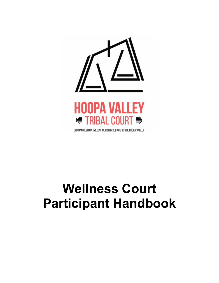

# **Wellness Court Participant Handbook**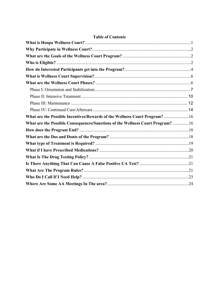| What are the Possible Incentives/Rewards of the Wellness Court Program? 16     |  |
|--------------------------------------------------------------------------------|--|
| What are the Possible Consequences/Sanctions of the Wellness Court Program? 16 |  |
|                                                                                |  |
|                                                                                |  |
|                                                                                |  |
|                                                                                |  |
|                                                                                |  |
|                                                                                |  |
|                                                                                |  |
|                                                                                |  |
|                                                                                |  |

### **Table of Contents**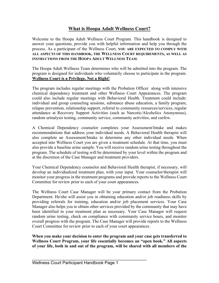# **What is Hoopa Adult Wellness Court?**

Welcome to the Hoopa Adult Wellness Court Program. This handbook is designed to answer your questions, provide you with helpful information and help you through the process. As a participant of the Wellness Court, **YOU ARE EXPECTED TO COMPLY WITH ALL ASPECTS OF THIS HANDBOOK, THE WELLNESS COURT REQUIREMENTS, AS WELL AS INSTRUCTIONS FROM THE HOOPA ADULT WELLNESS TEAM**.

The Hoopa Adult Wellness Team determines who will be admitted into the program. The program is designed for individuals who voluntarily choose to participate in the program. **Wellness Court is a Privilege, Not a Right!**

The program includes regular meetings with the Probation Officer along with intensive chemical dependency treatment and other Wellness Court Appearances. The program could also include regular meetings with Behavioral Health. Treatment could include: individual and group counseling sessions, substance abuse education, a family program, relapse prevention, relationship support, referral to community resources/services, regular attendance at Recovery Support Activities (such as Narcotic/Alcoholics Anonymous), random urinalysis testing, community service, community activities, and curfew.

A Chemical Dependency counselor completes your Assessment/Intake and makes recommendations that address your individual needs. A Behavioral Health therapist will also complete an Assessment/Intake to determine any other individual needs. When accepted into Wellness Court you are given a treatment schedule. At that time, you must also provide a baseline urine sample. You will receive random urine testing throughout the program. The schedule of testing will be determined by your level within the program and at the discretion of the Case Manager and treatment providers.

Your Chemical Dependency counselor and Behavioral Health therapist, if necessary, will develop an individualized treatment plan, with your input. Your counselor/therapist will monitor your progress in the treatment programs and provide reports to the Wellness Court Committee for review prior to each of your court appearances.

The Wellness Court Case Manager will be your primary contact from the Probation Department. He/she will assist you in obtaining education and/or job readiness skills by providing referrals for training, education and/or job placement services. Your Case Manager also helps you to obtain other services provided by the community that may have been identified in your treatment plan as necessary. Your Case Manager will request random urine testing, check on compliance with community service hours, and monitor overall progress with the program. The Case Manager will provide reports to the Wellness Court Committee for review prior to each of your court appearances.

**When you make your decision to enter the program and your case gets transferred to Wellness Court Program, your life essentially becomes an "open book." All aspects of your life, both in and out of the program, will be shared with all members of the** 

\_\_\_\_\_\_\_\_\_\_\_\_\_\_\_\_\_\_\_\_\_\_\_\_\_\_\_\_\_\_\_\_\_\_\_\_\_\_\_\_\_\_\_\_\_\_\_\_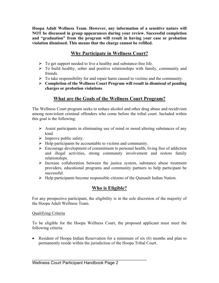**Hoopa Adult Wellness Team. However, any information of a sensitive nature will NOT be discussed in group appearances during your review. Successful completion and "graduation" from the program will result in having your case or probation violation dismissed. This means that the charge cannot be refilled.** 

# **Why Participate in Wellness Court?**

- $\triangleright$  To get support needed to live a healthy and substance-free life.
- $\triangleright$  To build healthy, sober and positive relationships with family, community and friends.
- $\triangleright$  To take responsibility for and repair harm caused to victims and the community.
- Ø **Completion of the Wellness Court Program will result in dismissal of pending charges or probation violations**.

# **What are the Goals of the Wellness Court Program?**

The Wellness Court program seeks to reduce alcohol and other drug abuse and recidivism among nonviolent criminal offenders who come before the tribal court. Included within this goal is the following:

- $\triangleright$  Assist participants in eliminating use of mind or mood altering substances of any kind.
- $\triangleright$  Improve public safety.
- $\triangleright$  Help participants be accountable to victims and community.
- $\triangleright$  Encourage development of commitment to personal health, living free of addiction and illegal activities, strong community involvement and restore family relationships.
- $\triangleright$  Increase collaboration between the justice system, substance abuse treatment providers, educational programs and community partners to help participant be successful.
- $\triangleright$  Help participants become responsible citizens of the Quinault Indian Nation.

# **Who is Eligible?**

For any prospective participant, the eligibility is in the sole discretion of the majority of the Hoopa Adult Wellness Team.

### Qualifying Criteria

To be eligible for the Hoopa Wellness Court, the proposed applicant must meet the following criteria:

• Resident of Hoopa Indian Reservation for a minimum of six (6) months and plan to permanently reside within the jurisdiction of the Hoopa Tribal Court.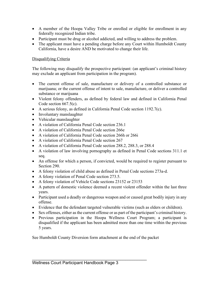- A member of the Hoopa Valley Tribe or enrolled or eligible for enrollment in any federally recognized Indian tribe.
- Participant must be drug or alcohol addicted, and willing to address the problem.
- The applicant must have a pending charge before any Court within Humboldt County California, have a desire AND be motivated to change their life.

### Disqualifying Criteria

The following may disqualify the prospective participant: (an applicant's criminal history may exclude an applicant from participation in the program).

- The current offense of sale, manufacture or delivery of a controlled substance or marijuana; or the current offense of intent to sale, manufacture, or deliver a controlled substance or marijuana
- Violent felony offenders, as defined by federal law and defined in California Penal Code section 667.5(c).
- A serious felony, as defined in California Penal Code section 1192.7(c).
- Involuntary manslaughter
- Vehicular manslaughter
- A violation of California Penal Code section 236.1
- A violation of California Penal Code section 266e
- A violation of California Penal Code section 266h or 266i
- A violation of California Penal Code section 267
- A violation of California Penal Code section 288.2, 288.3, or 288.4
- A violation of law involving pornography as defined in Penal Code sections 311.1 et seq.
- An offense for which a person, if convicted, would be required to register pursuant to Section 290.
- A felony violation of child abuse as defined in Penal Code sections 273a-d.
- A felony violation of Penal Code section 273.5.
- A felony violation of Vehicle Code sections 23152 or 23153
- A pattern of domestic violence deemed a recent violent offender within the last three years.
- Participant used a deadly or dangerous weapon and or caused great bodily injury in any offense.
- Evidence that the defendant targeted vulnerable victims (such as elders or children).
- Sex offenses, either as the current offense or as part of the participant's criminal history.
- Previous participation in the Hoopa Wellness Court Program; a participant is disqualified if the applicant has been admitted more than one time within the previous 5 years.

See Humboldt County Diversion form attachment at the end of the packet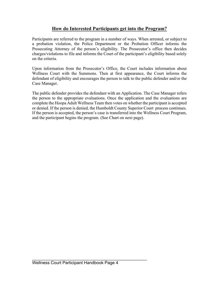# **How do Interested Participants get into the Program?**

Participants are referred to the program in a number of ways. When arrested, or subject to a probation violation, the Police Department or the Probation Officer informs the Prosecuting Attorney of the person's eligibility. The Prosecutor's office then decides charges/violations to file and informs the Court of the participant's eligibility based solely on the criteria.

Upon information from the Prosecutor's Office, the Court includes information about Wellness Court with the Summons. Then at first appearance, the Court informs the defendant of eligibility and encourages the person to talk to the public defender and/or the Case Manager.

The public defender provides the defendant with an Application. The Case Manager refers the person to the appropriate evaluations. Once the application and the evaluations are complete the Hoopa Adult Wellness Team then votes on whether the participant is accepted or denied. If the person is denied, the Humboldt County Superior Court process continues. If the person is accepted, the person's case is transferred into the Wellness Court Program, and the participant begins the program. (See Chart on next page).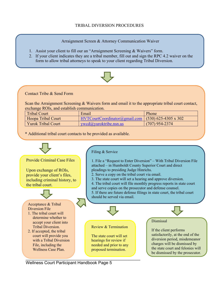### TRIBAL DIVERSION PROCEDURES

Arraignment Screen & Attorney Communication Waiver

- 1. Assist your client to fill our an "Arraignment Screening & Waivers" form.
- 2. If your client indicates they are a tribal member, fill out and sign the RPC 4.2 waiver on the form to allow tribal attorneys to speak to your client regarding Tribal Diversion.



Contact Tribe & Send Form

Scan the Arraignment Screening & Waivers form and email it to the appropriate tribal court contact, exchange ROIs, and establish communication.

| <b>Tribal Court</b>       | Email                                                              | Phone            |
|---------------------------|--------------------------------------------------------------------|------------------|
| Hoopa Tribal Court        | $\vert$ HVTCourtCoordinator@gmail.com $\vert$ (530) 625-4305 x 302 |                  |
| <b>Yurok Tribal Court</b> | vwcd@vuroktribe.nsn.us                                             | $(707)$ 954-2374 |

\* Additional tribal court contacts to be provided as available.

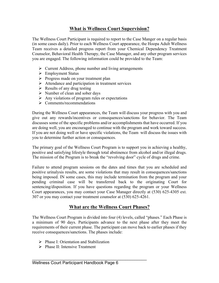# **What is Wellness Court Supervision?**

The Wellness Court Participant is required to report to the Case Manger on a regular basis (in some cases daily). Prior to each Wellness Court appearance, the Hoopa Adult Wellness Team receives a detailed progress report from your Chemical Dependency Treatment Counselor, Behavioral Health Therapy, the Case Manager, and any other program services you are engaged. The following information could be provided to the Team:

- $\triangleright$  Current Address, phone number and living arrangements
- $\triangleright$  Employment Status
- $\triangleright$  Progress made on your treatment plan
- $\triangleright$  Attendance and participation in treatment services
- $\triangleright$  Results of any drug testing
- $\triangleright$  Number of clean and sober days
- $\triangleright$  Any violations of program rules or expectations
- $\triangleright$  Comments/recommendations

During the Wellness Court appearances, the Team will discuss your progress with you and give out any rewards/incentives or consequences/sanctions for behavior. The Team discusses some of the specific problems and/or accomplishments that have occurred. If you are doing well, you are encouraged to continue with the program and work toward success. If you are not doing well or have specific violations, the Team will discuss the issues with you to determine further action or consequences.

The primary goal of the Wellness Court Program is to support you in achieving a healthy, positive and satisfying lifestyle through total abstinence from alcohol and/or illegal drugs. The mission of the Program is to break the "revolving door" cycle of drugs and crime.

Failure to attend program sessions on the dates and times that you are scheduled and positive urinalysis results, are some violations that may result in consequences/sanctions being imposed. IN some cases, this may include termination from the program and your pending criminal case will be transferred back to the originating Court for sentencing/disposition. If you have questions regarding the program or your Wellness Court appearances, you may contact your Case Manager directly at (530) 625-4305 ext. 307 or you may contact your treatment counselor at (530) 625-4261.

# **What are the Wellness Court Phases?**

The Wellness Court Program is divided into four (4) levels, called "phases." Each Phase is a minimum of 90 days. Participants advance to the next phase after they meet the requirements of their current phase. The participant can move back to earlier phases if they receive consequences/sanctions. The phases include:

- $\triangleright$  Phase I: Orientation and Stabilization
- $\triangleright$  Phase II: Intensive Treatment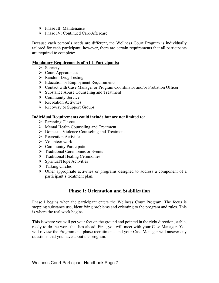- $\triangleright$  Phase III: Maintenance
- $\triangleright$  Phase IV: Continued Care/Aftercare

Because each person's needs are different, the Wellness Court Program is individually tailored for each participant; however, there are certain requirements that all participants are required to complete:

### **Mandatory Requirements of ALL Participants:**

- $\triangleright$  Sobriety
- $\triangleright$  Court Appearances
- $\triangleright$  Random Drug Testing
- $\triangleright$  Education or Employment Requirements
- Ø Contact with Case Manager or Program Coordinator and/or Probation Officer
- Ø Substance Abuse Counseling and Treatment
- $\triangleright$  Community Service
- $\triangleright$  Recreation Activities
- $\triangleright$  Recovery or Support Groups

### **Individual Requirements could include but are not limited to:**

- $\triangleright$  Parenting Classes
- $\triangleright$  Mental Health Counseling and Treatment
- Ø Domestic Violence Counseling and Treatment
- $\triangleright$  Recreation Activities
- Ø Volunteer work
- $\triangleright$  Community Participation
- $\triangleright$  Traditional Ceremonies or Events
- $\triangleright$  Traditional Healing Ceremonies
- $\triangleright$  Spiritual/Hope Activities
- $\triangleright$  Talking Circles
- $\triangleright$  Other appropriate activities or programs designed to address a component of a participant's treatment plan.

# **Phase I: Orientation and Stabilization**

Phase I begins when the participant enters the Wellness Court Program. The focus is stopping substance use, identifying problems and orienting to the program and rules. This is where the real work begins.

This is where you will get your feet on the ground and pointed in the right direction, stable, ready to do the work that lies ahead. First, you will meet with your Case Manager. You will review the Program and phase recruitments and your Case Manager will answer any questions that you have about the program.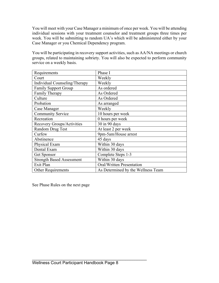You will meet with your Case Manager a minimum of once per week. You will be attending individual sessions with your treatment counselor and treatment groups three times per week. You will be submitting to random UA's which will be administered either by your Case Manager or you Chemical Dependency program.

You will be participating in recovery support activities, such as AA/NA meetings or church groups, related to maintaining sobriety. You will also be expected to perform community service on a weekly basis.

| Requirements                     | Phase I                            |
|----------------------------------|------------------------------------|
| Court                            | Weekly                             |
| Individual Counseling/Therapy    | Weekly                             |
| <b>Family Support Group</b>      | As ordered                         |
| Family Therapy                   | As Ordered                         |
| Culture                          | As Ordered                         |
| Probation                        | As arranged                        |
| Case Manager                     | Weekly                             |
| <b>Community Service</b>         | 10 hours per week                  |
| Recreation                       | 0 hours per week                   |
| Recovery Groups/Activities       | 30 in 90 days                      |
| Random Drug Test                 | At least 2 per week                |
| Curfew                           | 9pm-5am/House arrest               |
| Abstinence                       | 45 days                            |
| Physical Exam                    | Within 30 days                     |
| Dental Exam                      | Within 30 days                     |
| Get Sponsor                      | Complete Steps 1-3                 |
| <b>Strength Based Assessment</b> | Within 30 days                     |
| Exit Plan                        | <b>Oral/Written Presentation</b>   |
| <b>Other Requirements</b>        | As Determined by the Wellness Team |

See Phase Rules on the next page

\_\_\_\_\_\_\_\_\_\_\_\_\_\_\_\_\_\_\_\_\_\_\_\_\_\_\_\_\_\_\_\_\_\_\_\_\_\_\_\_\_\_\_\_\_\_\_\_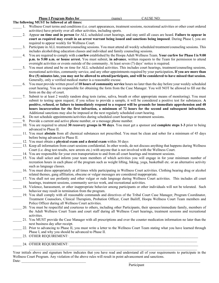| <b>Phase I Program Rules for</b> |  |
|----------------------------------|--|
|----------------------------------|--|

**The following MUST be followed at all times:**  \_\_\_\_\_ 1. Wellness Court terms and conditions (i.e. court appearances, treatment sessions, recreational activities or other court ordered activities) have priority over all other activities, including sports. \_\_\_\_\_ 2. Appear **on time and in person** for ALL scheduled court hearings, and stay until all cases are heard. **Failure to appear in court as required may result in an arrest warrant being issued and sanctions being imposed**. During Phase I, you are required to appear weekly for Wellness Court. Participate in ALL treatment/counseling sessions. You must attend all weekly scheduled treatment/counseling sessions. This includes alcohol/drug education classes and individual and family counseling sessions.

- \_\_\_\_\_ 4. You are required to comply with a **curfew** established by the Hoopa Adult Wellness Team. **Your curfew for Phase I is 9:00 p.m. to 5:00 a.m. or house arrest.** You must submit, **in advance**, written requests to the Team for permission to attend overnight activities or events outside of the community. At least seven (7) days' notice is required.
- You must attend and be on time for ALL scheduled activities. This includes court hearings, treatment/counseling sessions, recreational activities, community service, and any other appointments required by your participation**. If you are more than five (5) minutes late, you may not be allowed to attend/participate, and will be considered to have missed that session.** Generally, only a verified medical matter is a reasonable excuse.
- \_\_\_\_\_ 6. You must provide written proof of **10 hours of community service** hours no later than the day before your weekly scheduled court hearing. You are responsible for obtaining the form from the Case Manager. You will NOT be allowed to fill out the form on the day of court.
- \_\_\_\_\_ 7. Submit to at least 2 weekly random drug tests (urine, saliva, breath or other appropriate means of monitoring). You must submit to testing upon request; if you refuse to provide a sample, it will be considered a positive test for substances. **A positive, refused, or failure to immediately respond to a request will be grounds for immediate apprehension and 48 hours incarceration for the first infraction, a minimum of 72 hours for the second and subsequent infractions.** Additional sanctions may also be imposed at the next regularly scheduled court hearing.
- \_\_\_\_\_ 8. Do not schedule appointments/activities during scheduled court hearings or treatment sessions.
- 9. Provide a current and active phone number, or a message phone number.
- \_\_\_\_\_ 10. You are required to attend **30 recovery groups in 90 days**. You must get a sponsor and **complete steps 1-3** prior to being advanced to Phase II.
- \_\_\_\_\_ 11. You must **abstain** from all chemical substances not prescribed. You must be clean and sober for a minimum of 45 days before being advanced to Phase II.
- 12. You must obtain a *physical exam and a dental exam* within 30 days
- 13. Keep all information from court sessions confidential. In other words, do not discuss anything that happens during Wellness Court (i.e. drug test results, new arrests etc.) with anyone that is not involved with the Wellness Court.
- 14. You are responsible for your own transportation to and from all court hearings and treatment sessions.
- \_\_\_\_\_ 15. You shall select and inform your team members of which activities you will engage in for your minimum number of recreation hours in each phase of the program such as weight lifting, biking, yoga, basketball etc. or an alternative activity such as language classes.
- \_\_\_\_\_ 16. You must dress appropriately at all times while participating in Wellness Court activities. Clothing bearing drug or alcohol related themes, gang affiliation, obscene or vulgar messages are considered inappropriate.
- \_\_\_\_\_ 17. You shall not use profanity and other vulgar or rude language during Wellness Court activities. This includes all court hearings, treatment sessions, community service work, and recreational activities.
- 18. Violence, harassment, or other inappropriate behavior among participants or other individuals will not be tolerated. Such behavior may result in termination from the program.
- \_\_\_\_\_ 19. You shall comply with all reasonable commands and directives of the Tribal Court Case Manager, Program Coordinator, Treatment Counselors, Clinical Therapists, Probation Officer, Court Bailiff, Hoopa Wellness Court Team members and Police Officer during all Wellness Court activities.
- \_\_\_\_\_ 20. You must be respectful and courteous to others, including other Participants, their spouses/immediate family, members of the Adult Wellness Court Team and court staff during all Wellness Court hearings, treatment sessions and recreational activities.
- \_\_\_\_\_ 21. You MUST provide the Case Manager with all prescriptions and over the counter medication information no later than the next business day after receipt.
- 22. Prior to advancing to Phase II, you must write a letter to the Wellness Court Team stating what you have learned through Phase I, and why you should be advanced to Phase II.
- 23. OTHER REQUIREMENT:

24. OTHER REQUIREMENT:

Your initials above and signature below indicates that you have read and understand all of your requirements to participate in the Wellness Court Program. Any violation of the above rules will result in point advancement and sanctions.  $\text{Date:}$ 

 $\mathcal{L}_\mathcal{L} = \mathcal{L}_\mathcal{L} = \mathcal{L}_\mathcal{L} = \mathcal{L}_\mathcal{L} = \mathcal{L}_\mathcal{L} = \mathcal{L}_\mathcal{L} = \mathcal{L}_\mathcal{L} = \mathcal{L}_\mathcal{L} = \mathcal{L}_\mathcal{L} = \mathcal{L}_\mathcal{L} = \mathcal{L}_\mathcal{L} = \mathcal{L}_\mathcal{L} = \mathcal{L}_\mathcal{L} = \mathcal{L}_\mathcal{L} = \mathcal{L}_\mathcal{L} = \mathcal{L}_\mathcal{L} = \mathcal{L}_\mathcal{L}$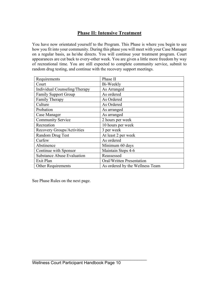# **Phase II: Intensive Treatment**

You have now orientated yourself to the Program. This Phase is where you begin to see how you fit into your community. During this phase you will meet with your Case Manager on a regular basis, as he/she directs. You will continue your treatment program. Court appearances are cut back to every-other week. You are given a little more freedom by way of recreational time. You are still expected to complete community service, submit to random drug testing, and continue with the recovery support meetings.

| Requirements                      | Phase II                        |
|-----------------------------------|---------------------------------|
| Court                             | Bi-Weekly                       |
| Individual Counseling/Therapy     | As Arranged                     |
| <b>Family Support Group</b>       | As ordered                      |
| Family Therapy                    | As Ordered                      |
| Culture                           | As Ordered                      |
| Probation                         | As arranged                     |
| Case Manager                      | As arranged                     |
| <b>Community Service</b>          | 2 hours per week                |
| Recreation                        | 10 hours per week               |
| Recovery Groups/Activities        | 3 per week                      |
| Random Drug Test                  | At least 2 per week             |
| Curfew                            | As ordered                      |
| Abstinence                        | Minimum 60 days                 |
| Continue with Sponsor             | Maintain Steps 4-6              |
| <b>Substance Abuse Evaluation</b> | Reassessed                      |
| Exit Plan                         | Oral/Written Presentation       |
| Other Requirements                | As ordered by the Wellness Team |

See Phase Rules on the next page.

\_\_\_\_\_\_\_\_\_\_\_\_\_\_\_\_\_\_\_\_\_\_\_\_\_\_\_\_\_\_\_\_\_\_\_\_\_\_\_\_\_\_\_\_\_\_\_\_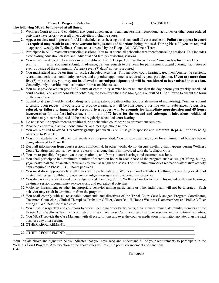**Phase II Program Rules for**  $\qquad \qquad$  **(name) CAUSE NO:** 

#### **The following MUST be followed at all times:**

- **\_\_\_\_ 1.** Wellness Court terms and conditions (i.e. court appearances, treatment sessions, recreational activities or other court ordered activities) have priority over all other activities, including sports.
- **\_\_\_\_ 2.** Appear **on time and in person** for ALL scheduled court hearings, and stay until all cases are heard. **Failure to appear in court as required may result in an arrest warrant being issued and sanctions being imposed**. During Phase II, you are required to appear bi-weekly for Wellness Court, or as directed by the Hoopa Adult Wellness Team.
- **3.** Participate in ALL treatment/counseling sessions. You must attend all scheduled treatment/counseling sessions. This includes alcohol/drug education classes and individual and family counseling sessions.
- **\_\_\_\_ 4.** You are required to comply with a **curfew** established by the Hoopa Adult Wellness Team. **Your curfew for Phase II is \_\_\_\_ p.m. to a.m.** You must submit, **in advance**, written requests to the Team for permission to attend overnight activities or events outside of the community. At least seven (7) days' notice is required.
- **\_\_\_\_ 5.** You must attend and be on time for ALL scheduled activities. This includes court hearings, treatment/counseling sessions, recreational activities, community service, and any other appointments required by your participation**. If you are more than five (5) minutes late, you may not be allowed to attend/participate, and will be considered to have missed that session.** Generally, only a verified medical matter is a reasonable excuse.
- **\_\_\_\_ 6.** You must provide written proof of **2 hours of community service** hours no later than the day before your weekly scheduled court hearing. You are responsible for obtaining the form from the Case Manager. You will NOT be allowed to fill out the form on the day of court.
- **\_\_\_\_ 7.** Submit to at least 2 weekly random drug tests (urine, saliva, breath or other appropriate means of monitoring). You must submit to testing upon request; if you refuse to provide a sample, it will be considered a positive test for substances. **A positive, refused, or failure to immediately respond to a request will be grounds for immediate apprehension and 48 hours incarceration for the first infraction, a minimum of 72 hours for the second and subsequent infractions.** Additional sanctions may also be imposed at the next regularly scheduled court hearing.
- **\_\_\_\_ 8.** Do not schedule appointments/activities during scheduled court hearings or treatment sessions.
- **9.** Provide a current and active phone number, or a message phone number.
- **\_\_\_\_ 10.**You are required to attend **3 recovery groups per week**. You must get a sponsor and **maintain steps 4-6** prior to being advanced to Phase III.
- **\_\_\_\_ 11.**You must **abstain** from all chemical substances not prescribed. You must be clean and sober for a minimum of 60 days before being advanced to Phase III.
- 12. Keep all information from court sessions confidential. In other words, do not discuss anything that happens during Wellness Court (i.e. drug test results, new arrests etc.) with anyone that is not involved with the Wellness Court.
	- **13.** You are responsible for your own transportation to and from all court hearings and treatment sessions.
- 14. You shall participate in a minimum number of recreation hours in each phase of the program such as weight lifting, biking, yoga, basketball etc. or an alternative activity such as language classes. The minimum number of recreation/alternative activity hours required in Phase II is 10 hours per week.
- **\_\_\_\_ 15.**You must dress appropriately at all times while participating in Wellness Court activities. Clothing bearing drug or alcohol related themes, gang affiliation, obscene or vulgar messages are considered inappropriate.
- 16. You shall not use profanity and other vulgar or rude language during Wellness Court activities. This includes all court hearings, treatment sessions, community service work, and recreational activities.
- 17. Violence, harassment, or other inappropriate behavior among participants or other individuals will not be tolerated. Such behavior may result in termination from the program.
- 18. You shall comply with all reasonable commands and directives of the Tribal Court Case Manager, Program Coordinator, Treatment Counselors, Clinical Therapists, Probation Officer, Court Bailiff, Hoopa Wellness Team members and Police Officer during all Wellness Court activities.
- **\_\_\_\_ 19.**You must be respectful and courteous to others, including other Participants, their spouses/immediate family, members of the Hoopa Adult Wellness Team and court staff during all Wellness Court hearings, treatment sessions and recreational activities.
	- **\_\_\_\_ 20.**You MUST provide the Case Manager with all prescriptions and over the counter medication information no later than the next business day after receipt.
- **\_\_\_\_ 21.**OTHER REQUIREMENT: \_\_\_\_\_\_\_\_\_\_\_\_\_\_\_\_\_\_\_\_\_\_\_\_\_\_\_\_\_\_\_\_\_\_\_\_\_\_\_\_\_\_\_\_\_\_\_\_\_\_\_\_\_\_\_\_\_\_\_\_\_\_\_\_\_\_\_\_\_\_\_\_

#### **\_\_\_\_ 22.**OTHER REQUIREMENT: \_\_\_\_\_\_\_\_\_\_\_\_\_\_\_\_\_\_\_\_\_\_\_\_\_\_\_\_\_\_\_\_\_\_\_\_\_\_\_\_\_\_\_\_\_\_\_\_\_\_\_\_\_\_\_\_\_\_\_\_\_\_\_\_\_\_\_\_\_\_\_\_

Your initials above and signature below indicates that you have read and understand all of your requirements to participate in the Wellness Court Program. Any violation of the above rules will result in point advancement and sanctions.  $\text{Date:}$ 

 $\mathcal{L}_\mathcal{L} = \mathcal{L}_\mathcal{L}$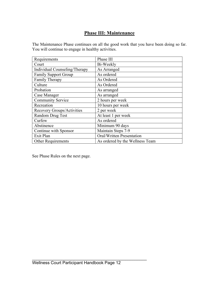# **Phase III: Maintenance**

The Maintenance Phase continues on all the good work that you have been doing so far. You will continue to engage in healthy activities.

| Requirements                  | Phase III                       |
|-------------------------------|---------------------------------|
| Court                         | Bi-Weekly                       |
| Individual Counseling/Therapy | As Arranged                     |
| <b>Family Support Group</b>   | As ordered                      |
| <b>Family Therapy</b>         | As Ordered                      |
| Culture                       | As Ordered                      |
| Probation                     | As arranged                     |
| Case Manager                  | As arranged                     |
| <b>Community Service</b>      | 2 hours per week                |
| Recreation                    | 10 hours per week               |
| Recovery Groups/Activities    | 2 per week                      |
| Random Drug Test              | At least 1 per week             |
| Curfew                        | As ordered                      |
| Abstinence                    | Minimum 90 days                 |
| Continue with Sponsor         | Maintain Steps 7-9              |
| Exit Plan                     | Oral/Written Presentation       |
| <b>Other Requirements</b>     | As ordered by the Wellness Team |

See Phase Rules on the next page.

\_\_\_\_\_\_\_\_\_\_\_\_\_\_\_\_\_\_\_\_\_\_\_\_\_\_\_\_\_\_\_\_\_\_\_\_\_\_\_\_\_\_\_\_\_\_\_\_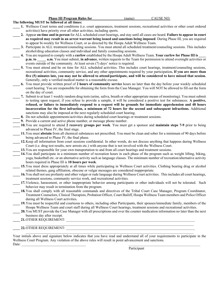#### **Phase III Program Rules for**  (name) CAUSE NO:

#### **The following MUST be followed at all times:**

- **\_\_\_\_ 1.** Wellness Court terms and conditions (i.e. court appearances, treatment sessions, recreational activities or other court ordered activities) have priority over all other activities, including sports.
- **\_\_\_\_ 2.** Appear **on time and in person** for ALL scheduled court hearings, and stay until all cases are heard. **Failure to appear in court as required may result in an arrest warrant being issued and sanctions being imposed**. During Phase III, you are required to appear bi-weekly for Wellness Court, or as directed by the Hoopa Adult Wellness Team.
- **\_\_\_\_ 3.** Participate in ALL treatment/counseling sessions. You must attend all scheduled treatment/counseling sessions. This includes alcohol/drug education classes and individual and family counseling sessions.
- **\_\_\_\_ 4.** You are required to comply with a **curfew** established by the Hoopa Adult Wellness Team. **Your curfew for Phase III is \_\_\_\_ p.m. to a.m.** You must submit, **in advance**, written requests to the Team for permission to attend overnight activities or events outside of the community. At least seven (7) days' notice is required.
- **\_\_\_\_ 5.** You must attend and be on time for ALL scheduled activities. This includes court hearings, treatment/counseling sessions, recreational activities, community service, and any other appointments required by your participation**. If you are more than five (5) minutes late, you may not be allowed to attend/participate, and will be considered to have missed that session.** Generally, only a verified medical matter is a reasonable excuse.
- **\_\_\_\_ 6.** You must provide written proof of **2 hours of community service** hours no later than the day before your weekly scheduled court hearing. You are responsible for obtaining the form from the Case Manager. You will NOT be allowed to fill out the form on the day of court.
- **\_\_\_\_ 7.** Submit to at least 1 weekly random drug tests (urine, saliva, breath or other appropriate means of monitoring). You must submit to testing upon request; if you refuse to provide a sample, it will be considered a positive test for substances. **A positive, refused, or failure to immediately respond to a request will be grounds for immediate apprehension and 48 hours incarceration for the first infraction, a minimum of 72 hours for the second and subsequent infractions.** Additional sanctions may also be imposed at the next regularly scheduled court hearing.
- **\_\_\_\_ 8.** Do not schedule appointments/activities during scheduled court hearings or treatment sessions.
- **9.** Provide a current and active phone number, or message phone number.
- **\_\_\_\_ 10.**You are required to attend **2 recovery groups per week**. You must get a sponsor and **maintain steps 7-9** prior to being advanced to Phase IV, the final stage.
- **\_\_\_\_ 11.**You must **abstain** from all chemical substances not prescribed. You must be clean and sober for a minimum of 90 days before being advanced to Phase IV, the final phase.
- **\_\_\_\_ 12.**Keep all information from court sessions confidential. In other words, do not discuss anything that happens during Wellness Court (i.e. drug test results, new arrests etc.) with anyone that is not involved with the Wellness Court.
- **13.**You are responsible for your own transportation to and from all court hearings and treatment sessions.
- 14. You shall participate in a minimum number of recreation hours in each phase of the program such as weight lifting, biking, yoga, basketball etc. or an alternative activity such as language classes. The minimum number of recreation/alternative activity hours required in Phase III is **10 hours per week**.
- **\_\_\_\_ 15.**You must dress appropriately at all times while participating in Wellness Court activities. Clothing bearing drug or alcohol related themes, gang affiliation, obscene or vulgar messages are considered inappropriate.
- 16. You shall not use profanity and other vulgar or rude language during Wellness Court activities. This includes all court hearings, treatment sessions, community service work, and recreational activities.
- 17. Violence, harassment, or other inappropriate behavior among participants or other individuals will not be tolerated. Such behavior may result in termination from the program.
- 18. You shall comply with all reasonable commands and directives of the Tribal Court Case Manager, Program Coordinator, Treatment Counselors, Clinical Therapists, Probation Officer, Court Bailiff, Hoopa Wellness Team members and Police Officer during all Wellness Court activities.
- **\_\_\_\_ 19.**You must be respectful and courteous to others, including other Participants, their spouses/immediate family, members of the Hoopa Wellness Team and court staff during all Wellness Court hearings, treatment sessions and recreational activities.
- **\_\_\_\_ 20.**You MUST provide the Case Manager with all prescriptions and over the counter medication information no later than the next business day after receipt.

 $\mathcal{L}_\mathcal{L} = \mathcal{L}_\mathcal{L}$ 

**\_\_\_\_ 21.**OTHER REQUIREMENT: \_\_\_\_\_\_\_\_\_\_\_\_\_\_\_\_\_\_\_\_\_\_\_\_\_\_\_\_\_\_\_\_\_\_\_\_\_\_\_\_\_\_\_\_\_\_\_\_\_\_\_\_\_\_\_\_\_\_\_\_\_\_\_\_\_\_\_\_\_\_\_\_

### 22. OTHER REQUIREMENT:

Your initials above and signature below indicates that you have read and understand all of your requirements to participate in the Wellness Court Program. Any violation of the above rules will result in point advancement and sanctions.  $\text{Date:}$ 

 $\mathcal{L}_\mathcal{L} = \mathcal{L}_\mathcal{L} = \mathcal{L}_\mathcal{L} = \mathcal{L}_\mathcal{L} = \mathcal{L}_\mathcal{L} = \mathcal{L}_\mathcal{L} = \mathcal{L}_\mathcal{L} = \mathcal{L}_\mathcal{L} = \mathcal{L}_\mathcal{L} = \mathcal{L}_\mathcal{L} = \mathcal{L}_\mathcal{L} = \mathcal{L}_\mathcal{L} = \mathcal{L}_\mathcal{L} = \mathcal{L}_\mathcal{L} = \mathcal{L}_\mathcal{L} = \mathcal{L}_\mathcal{L} = \mathcal{L}_\mathcal{L}$ 

Participant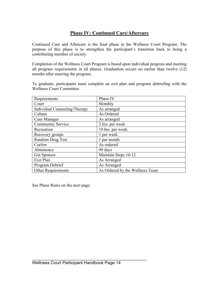# **Phase IV: Continued Care/Aftercare**

Continued Care and Aftercare is the final phase in the Wellness Court Program. The purpose of this phase is to strengthen the participant's transition back to being a contributing member of society.

Completion of the Wellness Court Program is based upon individual progress and meeting all program requirements in all phases. Graduation occurs no earlier than twelve (12) months after entering the program.

To graduate, participants must complete an exit plan and program debriefing with the Wellness Court Committee.

| Requirements                  | Phase IV                        |
|-------------------------------|---------------------------------|
| Court                         | Monthly                         |
| Individual Counseling/Therapy | As arranged                     |
| Culture                       | As Ordered                      |
| Case Manager                  | As arranged                     |
| <b>Community Service</b>      | 2 hrs. per week                 |
| Recreation                    | 10 hrs. per week.               |
| Recovery groups               | 1 per week                      |
| Random Drug Test              | 1 per month                     |
| Curfew                        | As ordered                      |
| Abstinence                    | 90 days                         |
| Get Sponsor                   | Maintain Steps 10-12            |
| Exit Plan                     | As Arranged                     |
| Program Debrief               | As Arranged                     |
| Other Requirements            | As Ordered by the Wellness Team |

See Phase Rules on the next page.

\_\_\_\_\_\_\_\_\_\_\_\_\_\_\_\_\_\_\_\_\_\_\_\_\_\_\_\_\_\_\_\_\_\_\_\_\_\_\_\_\_\_\_\_\_\_\_\_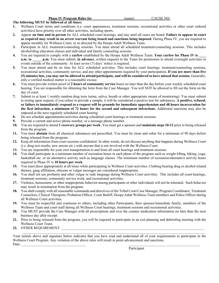#### **Phase IV Program Rules for**   $(name)$   $CAUSE NO:$

#### **The following MUST be followed at all times:**

- **1.** Wellness Court terms and conditions (i.e. court appearances, treatment sessions, recreational activities or other court ordered activities) have priority over all other activities, including sports.
- **2.** Appear **on time and in person** for ALL scheduled court hearings, and stay until all cases are heard. **Failure to appear in court as required may result in an arrest warrant being issued and sanctions being imposed**. During Phase IV, you are required to appear monthly for Wellness Court, or as directed by the Hoopa Adult Wellness Team.
- **3.** Participate in ALL treatment/counseling sessions. You must attend all scheduled treatment/counseling sessions. This includes alcohol/drug education classes and individual and family counseling sessions.
- **4.** You are required to comply with a **curfew** established by the Hoopa Adult Wellness Team. **Your curfew for Phase IV is \_\_\_\_ a.m. to p.m.** You must submit, **in advance**, written requests to the Team for permission to attend overnight activities or events outside of the community. At least seven (7) days' notice is required.
- **5.** You must attend and be on time for ALL scheduled activities. This includes court hearings, treatment/counseling sessions, recreational activities, community service, and any other appointments required by your participation**. If you are more than five (5) minutes late, you may not be allowed to attend/participate, and will be considered to have missed that session.** Generally, only a verified medical matter is a reasonable excuse.
- **6.** You must provide written proof of **2 hours of community service** hours no later than the day before your weekly scheduled court hearing. You are responsible for obtaining the form from the Case Manager. You will NOT be allowed to fill out the form on the day of court.
- **7.** Submit to at least 1 weekly random drug tests (urine, saliva, breath or other appropriate means of monitoring). You must submit to testing upon request; if you refuse to provide a sample, it will be considered a positive test for substances. **A positive, refused, or failure to immediately respond to a request will be grounds for immediate apprehension and 48 hours incarceration for the first infraction, a minimum of 72 hours for the second and subsequent infractions.** Additional sanctions may also be imposed at the next regularly scheduled court hearing.
- **8.** Do not schedule appointments/activities during scheduled court hearings or treatment sessions.
- **9.** Provide a current and active phone number, or a message phone number.
- **10.** You are required to attend **1 recovery groups per week**. You must get a sponsor and **maintain steps 10-12** prior to being released from the program.
- **11.** You must **abstain** from all chemical substances not prescribed. You must be clean and sober for a minimum of 90 days before being released from the program.
- **12.** Keep all information from court sessions confidential. In other words, do not discuss anything that happens during Wellness Court (i.e. drug test results, new arrests etc.) with anyone that is not involved with the Wellness Court.
- **13.** You are responsible for your own transportation to and from all court hearings and treatment sessions.
- **14.** You shall participate in a minimum number of recreation hours in each phase of the program such as weight lifting, biking, yoga, basketball etc. or an alternative activity such as language classes. The minimum number of recreation/alternative activity hours required in Phase IV is **10 hours per week**.
- **15.** You must dress appropriately at all times while participating in Wellness Court activities. Clothing bearing drug or alcohol related themes, gang affiliation, obscene or vulgar messages are considered inappropriate.
- **16.** You shall not use profanity and other vulgar or rude language during Wellness Court activities. This includes all court hearings, treatment sessions, community service work, and recreational activities.
- **17.** Violence, harassment, or other inappropriate behavior among participants or other individuals will not be tolerated. Such behavior may result in termination from the program.
- **18.** You shall comply with all reasonable commands and directives of the Tribal Court Case Manager, Program Coordinator, Treatment Counselors, Clinical Therapists, Probation Officer, Court Bailiff, Hoopa Adult Wellness Team members and Police Officer during all Wellness Court activities.
- **19.** You must be respectful and courteous to others, including other Participants, their spouses/immediate family, members of the Wellness Team and court staff during all Wellness Court hearings, treatment sessions and recreational activities.
- **20.** You MUST provide the Case Manager with all prescriptions and over the counter medication information no later than the next business day after receipt.
- **21.** Prior to being released from the program, you will be required to participate in an exit planning and debriefing meeting with the Wellness Court Team.
- **22. OTHER REQUIREMENT:**

 $\mathcal{L}_\mathcal{L} = \mathcal{L}_\mathcal{L} = \mathcal{L}_\mathcal{L} = \mathcal{L}_\mathcal{L} = \mathcal{L}_\mathcal{L} = \mathcal{L}_\mathcal{L} = \mathcal{L}_\mathcal{L} = \mathcal{L}_\mathcal{L} = \mathcal{L}_\mathcal{L} = \mathcal{L}_\mathcal{L} = \mathcal{L}_\mathcal{L} = \mathcal{L}_\mathcal{L} = \mathcal{L}_\mathcal{L} = \mathcal{L}_\mathcal{L} = \mathcal{L}_\mathcal{L} = \mathcal{L}_\mathcal{L} = \mathcal{L}_\mathcal{L}$ Your initials above and signature below indicates that you have read and understand all of your requirements to participate in the Wellness Court Program. Any violation of the above rules will result in point advancement and sanctions.  $\text{Date:}$ 

Participant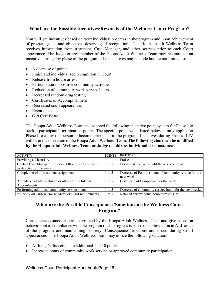### **What are the Possible Incentives/Rewards of the Wellness Court Program?**

You will get incentives based on your individual progress in the program and upon achievement of program goals and objectives deserving of recognition. The Hoopa Adult Wellness Team receives information from treatment, Case Manager, and other sources prior to each Court appearance. The Judge or any member of the Hoopa Adult Wellness Team may recommend an incentive during any phase of the program. The incentives may include but are not limited to:

- A decrease of points
- Praise and individualized recognition in Court
- Release from house arrest
- Participation in positive community activities
- Reduction of community work service hours
- Decreased random drug testing
- Certificates of Accomplishment
- Decreased court appearances
- Event tickets
- Gift Certificate

The Hoopa Adult Wellness Team has adopted the following incentive point system for Phase I to track a participant's termination points. The specific point value listed below is only applied at Phase I to allow the person to become orientated to the program. Incentives during Phases II-IV will be at the discretion of the Hoopa Adult Wellness Team. **The following chart can be modified by the Hoopa Adult Wellness Team or Judge to address individual circumstances.**

| <b>ACTIVITY</b>                                                                    | <b>POINTS</b> | <b>INCENTIVE</b>                                                      |
|------------------------------------------------------------------------------------|---------------|-----------------------------------------------------------------------|
| Providing a Clean UA                                                               |               | Praise                                                                |
| Contact Case Manager, Probation Officer or Coordinator<br>as directed for the week | $1$ to 5      | Decreased check-ins until the next court date.                        |
| Completion of all treatment assignments                                            | 1 to 5        | Decrease of Four (4) hours of community service for the<br>next week. |
| Attendance of all Treatment or other Court Ordered<br>Appointments                 | $1$ to 5      | Certificate of Compliance for the week.                               |
| Performing additional community service hours                                      | 1 to 5        | Decrease of community service hours for the next week.                |
| Abide by all Curfew/House Arrest or EHM requirements                               | $1$ to 5      | Relaxed curfew hours/house arrest/EHM.                                |

### **What are the Possible Consequences/Sanctions of the Wellness Court Program?**

Consequences/sanctions are determined by the Hoopa Adult Wellness Team and give based on behavior out of compliance with the program rules. Progress is based on participation in ALL areas of the program and maintaining sobriety. Consequences/sanctions are issued during Court appearances. The Hoopa Adult Wellness Team may utilize the following sanction:

- At Judge's discretion, an additional 1 to 10 points
- Increased hours of community work service or approved community participation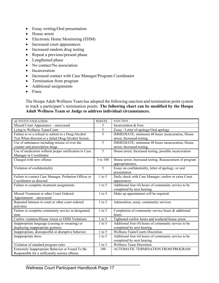- Essay writing/Oral presentation
- House arrest
- Electronic Home Monitoring (EHM)
- Increased court appearances
- Increased random drug testing
- Repeat a previous/present phase
- Lengthened phase
- No contact/No association
- Incarceration
- Increased contact with Case Manager/Program Coordinator
- Termination from program
- Additional assignments
- Fines

The Hoopa Adult Wellness Team has adopted the following sanction and termination point system to track a participant's termination points. **The following chart can be modified by the Hoopa Adult Wellness Team or Judge to address individual circumstances.**

| <b>ACTIVITY/VIOLATION</b>                             | <b>POINTS</b> | <b>SANCTION</b>                                          |
|-------------------------------------------------------|---------------|----------------------------------------------------------|
| Missed Court Appearance - unexcused                   | 5             | Incarceration & Fees                                     |
| Lying to Wellness Team/Court                          | 5             | Essay / Letter of apology/Oral apology                   |
| Failure to or a refusal to submit to a Drug/Alcohol   | 5             | IMMEDIATE, minimum 48 hours incarceration, House         |
| Test When directed or a failed Drug/Alcohol Screen.   |               | arrest, Increased testing,                               |
| Use of substances including misuse of over the        | 5             | IMMEDIATE, minimum 48 hours incarceration, House         |
| counter and prescription drugs                        |               | arrest, Increased testing,                               |
| Use of medication without proper notification to Case | 5             | House arrest, Increased testing, possible incarceration  |
| Manager or Coordinator                                |               |                                                          |
| Charged with new offense                              | 5 to 100      | House arrest, Increased testing. Reassessment of program |
|                                                       |               | appropriateness.                                         |
| Violation of confidentiality                          | 5             | Essay on confidentiality, letter of apology, or oral     |
|                                                       |               | presentation                                             |
| Failure to contact Case Manager, Probation Officer or | $1$ to $5$    | Daily check with Case Manager, curfew or extra Court     |
| Coordinator as directed                               |               | appearances                                              |
| Failure to complete treatment assignments             | $1$ to $5$    | Additional four (4) hours of community service to be     |
|                                                       |               | completed by next hearing                                |
| Missed Treatment or other Court Ordered               | $1$ to $5$    | Make up appointment will be required.                    |
| Appointment - unexcused                               |               |                                                          |
| Repeated lateness to court or other court ordered     | $1$ to $5$    | Admonition, essay, community services                    |
| activities                                            |               |                                                          |
| Failure to complete community service in designated   | $1$ to $5$    | Completion of community service hours $\&$ additional    |
| time                                                  |               | hours.                                                   |
| Curfew violation/House Arrest or EHM Violations       | $1$ to $5$    | Tightened curfew hours and weekend house arrest.         |
| Inappropriate language (cussing or swearing) or       | $1$ to $5$    | Additional four (4) hours of community service to be     |
| displaying inappropriate gestures.                    |               | completed by next hearing                                |
| Inappropriate, disrespectful or disruptive behavior.  | $1$ to $5$    | Wellness Team/Courts Discretion                          |
| Inappropriate dress                                   | $1$ to $5$    | Additional four (4) hours of community service to be     |
|                                                       |               | completed by next hearing                                |
| Violation of standard program rules                   | $1$ to $5$    | <b>Wellness Team Discretion</b>                          |
| Extremely Inappropriate Behavior or Found To Be       | 100           | AUTOMATIC TERMINATION FROM PROGRAM                       |
| Responsible for a sufficiently serious offense        |               |                                                          |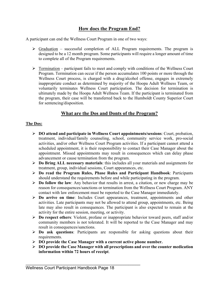# **How does the Program End?**

A participant can end the Wellness Court Program in one of two ways:

- $\triangleright$  Graduation successful completion of ALL Program requirements. The program is designed to be a 12 month program. Some participants will require a longer amount of time to complete all of the Program requirements.
- $\triangleright$  Termination participant fails to meet and comply with conditions of the Wellness Court Program. Termination can occur if the person accumulates 100 points or more through the Wellness Court process, is charged with a drug/alcohol offense, engages in extremely inappropriate conduct as determined by majority of the Hoopa Adult Wellness Team, or voluntarily terminates Wellness Court participation. The decision for termination is ultimately made by the Hoopa Adult Wellness Team. If the participant is terminated from the program, their case will be transferred back to the Humboldt County Superior Court for sentencing/disposition.

### **What are the Dos and Donts of the Program?**

### **The Dos:**

- Ø **DO attend and participate in Wellness Court appointments/sessions**: Court, probation, treatment, individual/family counseling, school, community service work, pro-social activities, and/or other Wellness Court Program activities. If a participant cannot attend a scheduled appointment, it is their responsibility to contact their Case Manager about the appointment. Missed appointments may result in consequences which can delay phase advancement or cause termination from the program.
- Ø **Do Bring ALL necessary materials**: this includes all your materials and assignments for treatment, group, individual sessions, Court appearances, etc.
- Ø **Do read the Program Rules, Phase Rules and Participant Handbook**: Participants should understand the requirements before and while participating in the program.
- Ø **Do follow the law**: Any behavior that results in arrest, a citation, or new charge may be reason for consequences/sanctions or termination from the Wellness Court Program. ANY contact with law enforcement must be reported to the Case Manager immediately.
- Ø **Do arrive on time**: Includes Court appearances, treatment, appointments and other activities. Late participants may not be allowed to attend group, appointments, etc. Being late may also result in consequences. The participant is also expected to remain at the activity for the entire session, meeting, or activity.
- Ø **Do respect others**: Violent, profane or inappropriate behavior toward peers, staff and/or community members is not tolerated. It will be reported to the Case Manager and may result in consequences/sanctions.
- Ø **Do ask questions**: Participants are responsible for asking questions about their requirements.
- Ø **DO provide the Case Manager with a current active phone number.**
- Ø **DO provide the Case Manager with all prescriptions and over the counter medication information within 72 hours of receipt**.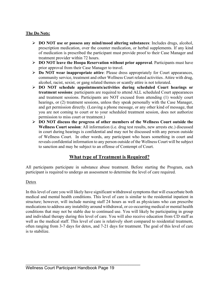### **The Do Nots:**

- Ø **DO NOT use or possess any mind/mood altering substances**: Includes drugs, alcohol, prescription medication, over the counter medication, or herbal supplements. If any kind of medication is prescribed the participant must provide proof to their Case Manager and treatment provider within 72 hours.
- Ø **DO NOT leave the Hoopa Reservation without prior approval**. Participants must have prior approval from their Case Manager to travel.
- Ø **Do NOT wear inappropriate attire**: Please dress appropriately for Court appearances, community service, treatment and other Wellness Court related activities. Attire with drug, alcohol, racist, sexist, or gang related themes or scantly attire is not tolerated.
- Ø **DO NOT schedule appointments/activities during scheduled Court hearings or treatment sessions**: participants are required to attend ALL scheduled Court appearances and treatment sessions. Participants are NOT excused from attending (1) weekly court hearings, or (2) treatment sessions, unless they speak personally with the Case Manager, and get permission directly. (Leaving a phone message, or any other kind of message, that you are not coming to court or to your scheduled treatment session, does not authorize permission to miss court or treatment.)
- Ø **DO NOT discuss the progress of other members of the Wellness Court outside the Wellness Court session**: All information (i.e. drug test results, new arrests etc.) discussed in court during hearings is confidential and may not be discussed with any person outside of Wellness Court. In other words, any participant who hears something in court and reveals confidential information to any person outside of the Wellness Court will be subject to sanction and may be subject to an offense of Contempt of Court.

# **What type of Treatment is Required?**

All participants participate in substance abuse treatment. Before starting the Program, each participant is required to undergo an assessment to determine the level of care required.

### Detox

In this level of care you will likely have significant withdrawal symptoms that will exacerbate both medical and mental health conditions. This level of care is similar to the residential inpatient in structure; however, will include nursing staff 24 hours as well as physicians who can prescribe medications to address any instability around withdrawal, or co-occurring medical or mental health conditions that may not be stable due to continued use. You will likely be participating in group and individual therapy during this level of care. You will also receive education from CD staff as well as the medical staff. This level of care is relatively short compared to residential treatment, often ranging from 3-7 days for detox, and 7-21 days for treatment. The goal of this level of care is to stabilize.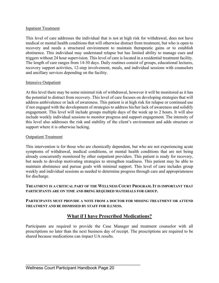### Inpatient Treatment

This level of care addresses the individual that is not at high risk for withdrawal, does not have medical or mental health conditions that will otherwise distract from treatment, but who is open to recovery and needs a structured environment to maintain therapeutic gains or to establish abstinence. This individual may understand relapse but has limited ability to manage cues and triggers without 24 hour supervision. This level of care is located in a residential treatment facility. The length of care ranges from 14-30 days. Daily routines consist of groups, educational lectures, recovery support activities, 12-step involvement, meals, and individual sessions with counselors and ancillary services depending on the facility.

### Intensive Outpatient

At this level there may be some minimal risk of withdrawal, however it will be monitored as it has the potential to distract from recovery. This level of care focuses on developing strategies that will address ambivalence or lack of awareness. This patient is at high risk for relapse or continued use if not engaged with the development of strategies to address his/her lack of awareness and solidify engagement. This level will include groups multiple days of the week up to 2 hours. It will also include weekly individual sessions to monitor progress and support engagement. The intensity of this level also addresses the risk and stability of the client's environment and adds structure or support where it is otherwise lacking.

### **Outpatient Treatment**

This intervention is for those who are chemically dependent, but who are not experiencing acute symptoms of withdrawal, medical conditions, or mental health conditions that are not being already concurrently monitored by other outpatient providers. This patient is ready for recovery, but needs to develop motivating strategies to strengthen readiness. This patient may be able to maintain abstinence and pursue goals with minimal support. This level of care includes group weekly and individual sessions as needed to determine progress through care and appropriateness for discharge.

### **TREATMENT IS A CRITICAL PART OF THE WELLNESS COURT PROGRAM. IT IS IMPORTANT THAT PARTICIPANTS ARE ON TIME AND BRING REQUIRED MATERIALS FOR GROUP.**

### **PARTICIPANTS MUST PROVIDE A NOTE FROM A DOCTOR FOR MISSING TREATMENT OR ATTEND TREATMENT AND BE DISMISSED BY STAFF FOR ILLNESS.**

# **What if I have Prescribed Medications?**

Participants are required to provide the Case Manager and treatment counselor with all prescriptions no later than the next business day of receipt. The prescriptions are required to be shared because medications can impact UA results.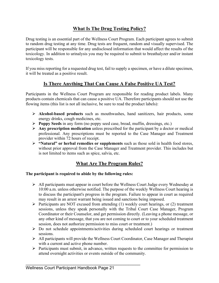# **What Is The Drug Testing Policy?**

Drug testing is an essential part of the Wellness Court Program. Each participant agrees to submit to random drug testing at any time. Drug tests are frequent, random and visually supervised. The participant will be responsible for any undisclosed information that would affect the results of the toxicology. In addition to urinalysis you may be required to submit to breathalyzer and/or instant toxicology tests.

If you miss reporting for a requested drug test, fail to supply a specimen, or have a dilute specimen, it will be treated as a positive result.

### **Is There Anything That Can Cause A False Positive UA Test?**

Participants in the Wellness Court Program are responsible for reading product labels. Many products contain chemicals that can cause a positive UA. Therefore participants should not use the flowing items (this list is not all inclusive, be sure to read the product labels):

- Ø **Alcohol-based products** such as mouthwashes, hand sanitizers, hair products, some energy drinks, cough medicines, etc.
- Ø **Poppy Seeds** in any form (no poppy seed case, bread, muffin, dressings, etc.)
- Ø **Any prescription medication** unless prescribed for the participant by a doctor or medical professional. Any prescriptions must be reported to the Case Manager and Treatment provider within 72 hours of receipt.
- Ø **"Natural" or herbal remedies or supplements** such as those sold in health food stores, without prior approval from the Case Manager and Treatment provider. This includes but is not limited to items such as spice, salvia, etc.

# **What Are The Program Rules?**

### **The participant is required to abide by the following rules:**

- Ø All participants must appear in court before the Wellness Court Judge every Wednesday at 10:00 a.m. unless otherwise notified. The purpose of the weekly Wellness Court hearing is to discuss the participant's progress in the program. Failure to appear in court as required may result in an arrest warrant being issued and sanctions being imposed.
- $\triangleright$  Participants are NOT excused from attending (1) weekly court hearings, or (2) treatment sessions, unless they speak personally with the Tribal Court Case Manager, Program Coordinator or their Counselor, and get permission directly. (Leaving a phone message, or any other kind of message, that you are not coming to court or to your scheduled treatment session, does not authorize permission to miss court or treatment.)
- $\triangleright$  Do not schedule appointments/activities during scheduled court hearings or treatment sessions.
- $\triangleright$  All participants will provide the Wellness Court Coordinator, Case Manager and Therapist with a current and active phone number.
- $\triangleright$  Participants must submit, in advance, written requests to the committee for permission to attend overnight activities or events outside of the community.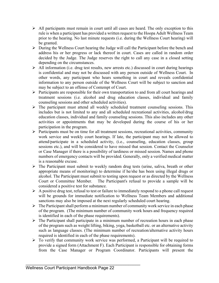- $\triangleright$  All participants must remain in court until all cases are heard. The only exception to this rule is when a participant has provided a written request to the Hoopa Adult Wellness Team prior to the hearing. No last minute requests (i.e. during the Wellness Court hearing) will be granted.
- $\triangleright$  During the Wellness Court hearing the Judge will call the Participant before the bench and address his or her progress or lack thereof in court. Cases are called in random order decided by the Judge. The Judge reserves the right to call any case in a closed setting depending on the circumstances.
- $\triangleright$  All information (i.e. drug test results, new arrests etc.) discussed in court during hearings is confidential and may not be discussed with any person outside of Wellness Court. In other words, any participant who hears something in court and reveals confidential information to any person outside of the Wellness Court will be subject to sanction and may be subject to an offense of Contempt of Court.
- $\triangleright$  Participants are responsible for their own transportation to and from all court hearings and treatment sessions (i.e. alcohol and drug education classes, individual and family counseling sessions and other scheduled activities).
- $\triangleright$  The participant must attend all weekly scheduled treatment counseling sessions. This includes but is not limited to any and all scheduled recreational activities, alcohol/drug education classes, individual and family counseling sessions. This also includes any other activities or appointments that may be developed during the course of his or her participation in the program.
- $\triangleright$  Participants must be on time for all treatment sessions, recreational activities, community work service and weekly court hearings. If late, the participant may not be allowed to attend/participate in a scheduled activity, (i.e., counseling, education classes, group sessions etc.), and will be considered to have missed that session. Contact the Counselor or Case Manager if there is a possibility of tardiness or missed session. Names and phone numbers of emergency contacts will be provided. Generally, only a verified medical matter is a reasonable excuse.
- $\triangleright$  The Participant must submit to weekly random drug tests (urine, saliva, breath or other appropriate means of monitoring) to determine if he/she has been using illegal drugs or alcohol. The Participant must submit to testing upon request or as directed by the Wellness Court or Committee Member. The Participant's refusal to provide a sample will be considered a positive test for substance.
- $\triangleright$  A positive drug test, refusal to test or failure to immediately respond to a phone call request will be grounds for immediate notification to Wellness Team Members and additional sanctions may also be imposed at the next regularly scheduled court hearing.
- $\triangleright$  The Participant shall perform a minimum number of community work service in each phase of the program. (The minimum number of community work hours and frequency required is identified in each of the phase requirements).
- $\triangleright$  The Participant shall participate in a minimum number of recreation hours in each phase of the program such as weight lifting, biking, yoga, basketball etc. or an alternative activity such as language classes. (The minimum number of recreation/alternative activity hours required is identified in each of the phase requirements).
- $\triangleright$  To verify that community work service was performed, a Participant will be required to provide a signed form (Attachment F). Each Participant is responsible for obtaining forms from the Case Manager or Program Coordinator. Participants will present the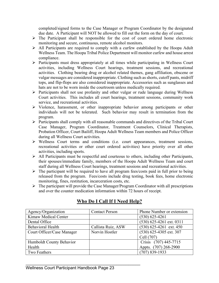completed/signed forms to the Case Manager or Program Coordinator by the designated due date. A Participant will NOT be allowed to fill out the form on the day of court.

- $\triangleright$  The Participant shall be responsible for the cost of court ordered home electronic monitoring and secure, continuous, remote alcohol monitors.
- $\triangleright$  All Participants are required to comply with a curfew established by the Hoopa Adult Wellness Team. The Hoopa Tribal Police Department will monitor curfew and house arrest compliance.
- Ø Participants must dress appropriately at all times while participating in Wellness Court activities, including Wellness Court hearings, treatment sessions, and recreational activities. Clothing bearing drug or alcohol related themes, gang affiliation, obscene or vulgar messages are considered inappropriate. Clothing such as shorts, cutoff pants, midriff tops, and flip-flops are also considered inappropriate. Accessories such as sunglasses and hats are not to be worn inside the courtroom unless medically required.
- Ø Participants shall not use profanity and other vulgar or rude language during Wellness Court activities. This includes all court hearings, treatment sessions, community work service, and recreational activities.
- $\triangleright$  Violence, harassment, or other inappropriate behavior among participants or other individuals will not be tolerated. Such behavior may result in termination from the program.
- $\triangleright$  Participants shall comply with all reasonable commands and directives of the Tribal Court Case Manager, Program Coordinator, Treatment Counselors, Clinical Therapists, Probation Officer, Court Bailiff, Hoopa Adult Wellness Team members and Police Officer during all Wellness Court activities.
- Ø Wellness Court terms and conditions (i.e. court appearances, treatment sessions, recreational activities or other court ordered activities) have priority over all other activities, including sports.
- Ø All Participants must be respectful and courteous to others, including other Participants, their spouses/immediate family, members of the Hoopa Adult Wellness Team and court staff during all Wellness Court hearings, treatment sessions and recreational activities.
- $\triangleright$  The participant will be required to have all program fees/costs paid in full prior to being released from the program. Fees/costs include drug testing, book fees, home electronic monitoring, fines, restitution, incarceration costs, etc.
- $\triangleright$  The participant will provide the Case Manager/Program Coordinator with all prescriptions and over the counter medication information within 72 hours of receipt.

| Agency/Organization        | <b>Contact Person</b> | Phone Number or extension  |
|----------------------------|-----------------------|----------------------------|
| Kimaw Medical Center       |                       | $(530)$ 625-4261           |
| Dental Office              |                       | $(530)$ 625-4261 ext. 0311 |
| <b>Behavioral Health</b>   | Callista Ruiz, ASW    | $(530)$ 625-4261 ext. 450  |
| Court Officer/Case Manager | Norvin Hostler        | $(530)$ 625-4305 ext. 307  |
|                            |                       | Cell (707)                 |
| Humboldt County Behavior   |                       | Crisis (707) 445-7715      |
| Health                     |                       | Appts. (707) 268-2900      |
| Two Feathers               |                       | $(707)$ 839-1933           |

# **Who Do I Call If I Need Help?**